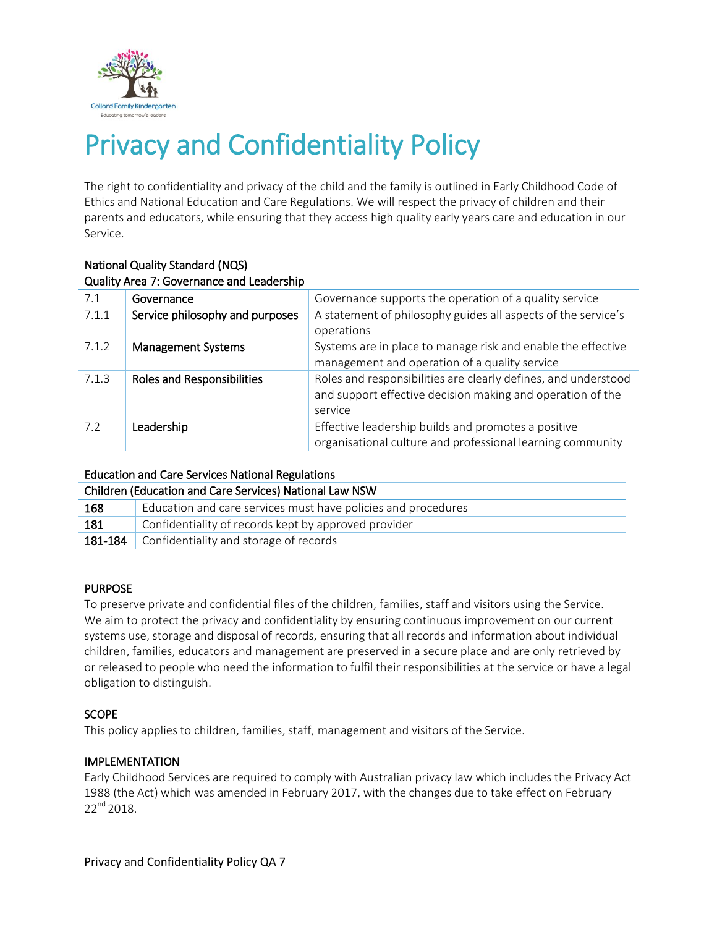

# Privacy and Confidentiality Policy

The right to confidentiality and privacy of the child and the family is outlined in Early Childhood Code of Ethics and National Education and Care Regulations. We will respect the privacy of children and their parents and educators, while ensuring that they access high quality early years care and education in our Service.

| Quality Area 7: Governance and Leadership |                                   |                                                                                                                                         |  |  |
|-------------------------------------------|-----------------------------------|-----------------------------------------------------------------------------------------------------------------------------------------|--|--|
| 7.1                                       | Governance                        | Governance supports the operation of a quality service                                                                                  |  |  |
| 7.1.1                                     | Service philosophy and purposes   | A statement of philosophy guides all aspects of the service's<br>operations                                                             |  |  |
| 7.1.2                                     | <b>Management Systems</b>         | Systems are in place to manage risk and enable the effective<br>management and operation of a quality service                           |  |  |
| 7.1.3                                     | <b>Roles and Responsibilities</b> | Roles and responsibilities are clearly defines, and understood<br>and support effective decision making and operation of the<br>service |  |  |
| 7.2                                       | Leadership                        | Effective leadership builds and promotes a positive<br>organisational culture and professional learning community                       |  |  |

# National Quality Standard (NQS)

#### Education and Care Services National Regulations

| Children (Education and Care Services) National Law NSW |                                                               |  |
|---------------------------------------------------------|---------------------------------------------------------------|--|
| 168                                                     | Education and care services must have policies and procedures |  |
| 181                                                     | Confidentiality of records kept by approved provider          |  |
| 181-184                                                 | Confidentiality and storage of records                        |  |

## PURPOSE

To preserve private and confidential files of the children, families, staff and visitors using the Service. We aim to protect the privacy and confidentiality by ensuring continuous improvement on our current systems use, storage and disposal of records, ensuring that all records and information about individual children, families, educators and management are preserved in a secure place and are only retrieved by or released to people who need the information to fulfil their responsibilities at the service or have a legal obligation to distinguish.

## **SCOPE**

This policy applies to children, families, staff, management and visitors of the Service.

## IMPLEMENTATION

Early Childhood Services are required to comply with Australian privacy law which includes the Privacy Act 1988 (the Act) which was amended in February 2017, with the changes due to take effect on February 22<sup>nd</sup> 2018.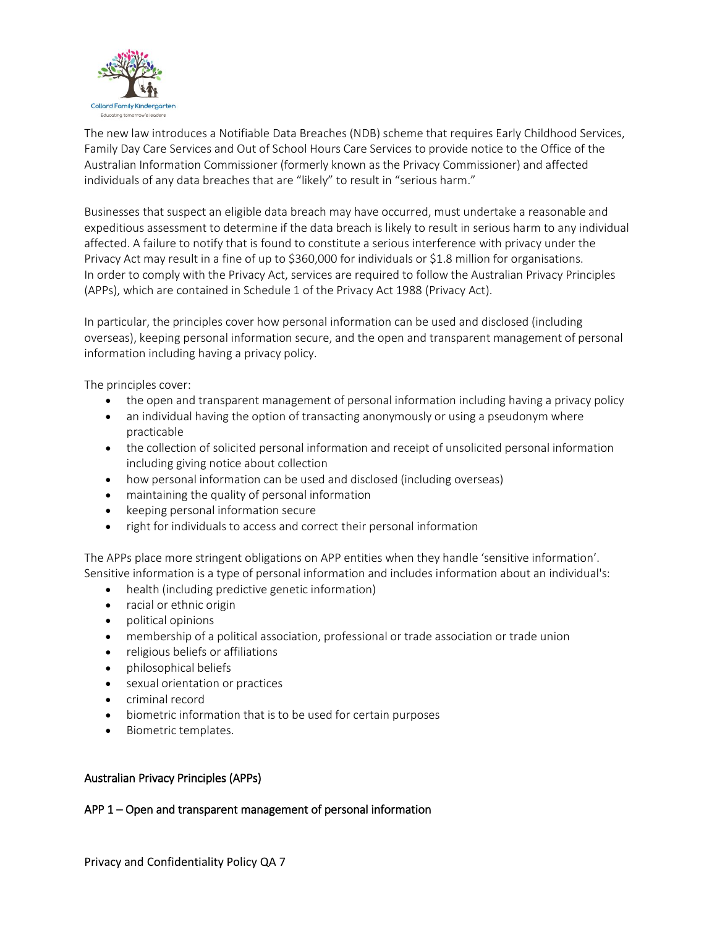

The new law introduces a Notifiable Data Breaches (NDB) scheme that requires Early Childhood Services, Family Day Care Services and Out of School Hours Care Services to provide notice to the Office of the Australian Information Commissioner (formerly known as the Privacy Commissioner) and affected individuals of any data breaches that are "likely" to result in "serious harm."

Businesses that suspect an eligible data breach may have occurred, must undertake a reasonable and expeditious assessment to determine if the data breach is likely to result in serious harm to any individual affected. A failure to notify that is found to constitute a serious interference with privacy under the Privacy Act may result in a fine of up to \$360,000 for individuals or \$1.8 million for organisations. In order to comply with the Privacy Act, services are required to follow the Australian Privacy Principles (APPs), which are contained in Schedule 1 of the Privacy Act 1988 (Privacy Act).

In particular, the principles cover how personal information can be used and disclosed (including overseas), keeping personal information secure, and the open and transparent management of personal information including having a privacy policy.

The principles cover:

- the open and transparent management of personal information including having a privacy policy
- an individual having the option of transacting anonymously or using a pseudonym where practicable
- the collection of solicited personal information and receipt of unsolicited personal information including giving notice about collection
- how personal information can be used and disclosed (including overseas)
- maintaining the quality of personal information
- keeping personal information secure
- right for individuals to access and correct their personal information

The APPs place more stringent obligations on APP entities when they handle 'sensitive information'. Sensitive information is a type of personal information and includes information about an individual's:

- health (including predictive genetic information)
- racial or ethnic origin
- political opinions
- membership of a political association, professional or trade association or trade union
- religious beliefs or affiliations
- philosophical beliefs
- sexual orientation or practices
- criminal record
- biometric information that is to be used for certain purposes
- Biometric templates.

#### Australian Privacy Principles (APPs)

#### APP 1 – Open and transparent management of personal information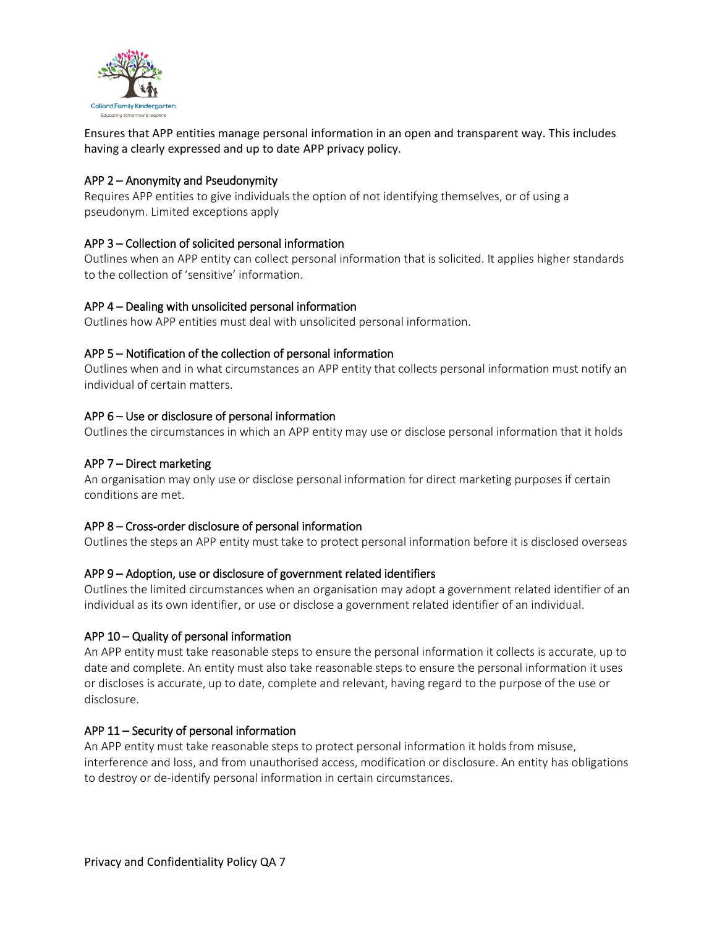

Ensures that APP entities manage personal information in an open and transparent way. This includes having a clearly expressed and up to date APP privacy policy.

#### APP 2 – Anonymity and Pseudonymity

Requires APP entities to give individuals the option of not identifying themselves, or of using a pseudonym. Limited exceptions apply

## APP 3 – Collection of solicited personal information

Outlines when an APP entity can collect personal information that is solicited. It applies higher standards to the collection of 'sensitive' information.

#### APP 4 – Dealing with unsolicited personal information

Outlines how APP entities must deal with unsolicited personal information.

#### APP 5 – Notification of the collection of personal information

Outlines when and in what circumstances an APP entity that collects personal information must notify an individual of certain matters.

## APP 6 – Use or disclosure of personal information

Outlines the circumstances in which an APP entity may use or disclose personal information that it holds

#### APP 7 – Direct marketing

An organisation may only use or disclose personal information for direct marketing purposes if certain conditions are met.

#### APP 8 – Cross-order disclosure of personal information

Outlines the steps an APP entity must take to protect personal information before it is disclosed overseas

#### APP 9 – Adoption, use or disclosure of government related identifiers

Outlines the limited circumstances when an organisation may adopt a government related identifier of an individual as its own identifier, or use or disclose a government related identifier of an individual.

#### APP 10 – Quality of personal information

An APP entity must take reasonable steps to ensure the personal information it collects is accurate, up to date and complete. An entity must also take reasonable steps to ensure the personal information it uses or discloses is accurate, up to date, complete and relevant, having regard to the purpose of the use or disclosure.

#### APP 11 – Security of personal information

An APP entity must take reasonable steps to protect personal information it holds from misuse, interference and loss, and from unauthorised access, modification or disclosure. An entity has obligations to destroy or de-identify personal information in certain circumstances.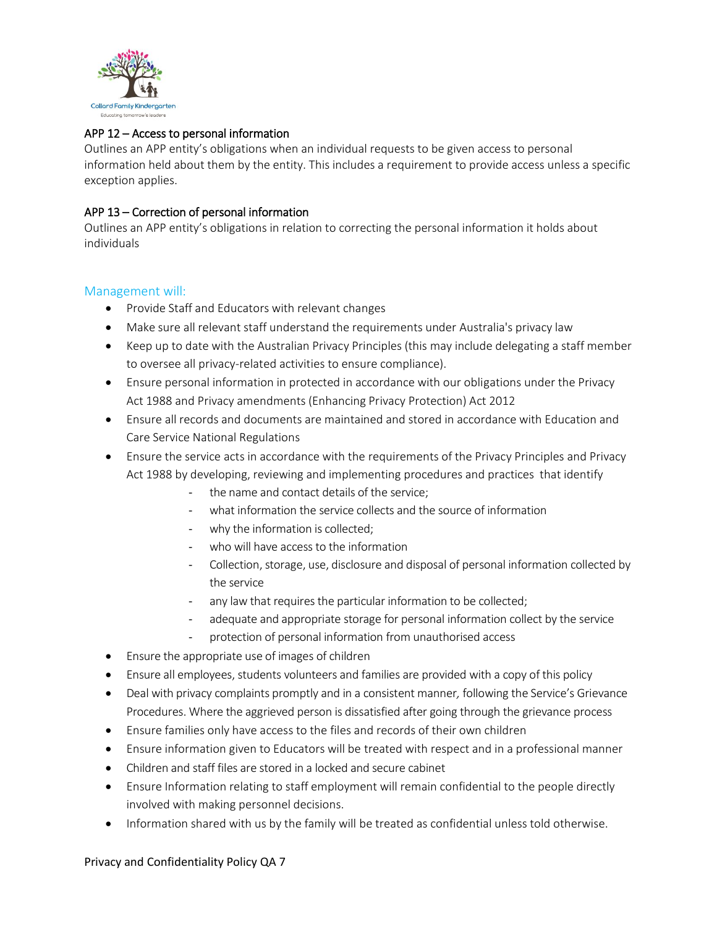

## APP 12 – Access to personal information

Outlines an APP entity's obligations when an individual requests to be given access to personal information held about them by the entity. This includes a requirement to provide access unless a specific exception applies.

#### APP 13 – Correction of personal information

Outlines an APP entity's obligations in relation to correcting the personal information it holds about individuals

#### Management will:

- Provide Staff and Educators with relevant changes
- Make sure all relevant staff understand the requirements under Australia's privacy law
- Keep up to date with the Australian Privacy Principles (this may include delegating a staff member to oversee all privacy-related activities to ensure compliance).
- Ensure personal information in protected in accordance with our obligations under the Privacy Act 1988 and Privacy amendments (Enhancing Privacy Protection) Act 2012
- Ensure all records and documents are maintained and stored in accordance with Education and Care Service National Regulations
- Ensure the service acts in accordance with the requirements of the Privacy Principles and Privacy Act 1988 by developing, reviewing and implementing procedures and practices that identify
	- the name and contact details of the service;
	- what information the service collects and the source of information
	- why the information is collected;
	- who will have access to the information
	- Collection, storage, use, disclosure and disposal of personal information collected by the service
	- any law that requires the particular information to be collected;
	- adequate and appropriate storage for personal information collect by the service
	- protection of personal information from unauthorised access
- Ensure the appropriate use of images of children
- Ensure all employees, students volunteers and families are provided with a copy of this policy
- Deal with privacy complaints promptly and in a consistent manner*,* following the Service's Grievance Procedures. Where the aggrieved person is dissatisfied after going through the grievance process
- Ensure families only have access to the files and records of their own children
- Ensure information given to Educators will be treated with respect and in a professional manner
- Children and staff files are stored in a locked and secure cabinet
- Ensure Information relating to staff employment will remain confidential to the people directly involved with making personnel decisions.
- Information shared with us by the family will be treated as confidential unless told otherwise.

#### Privacy and Confidentiality Policy QA 7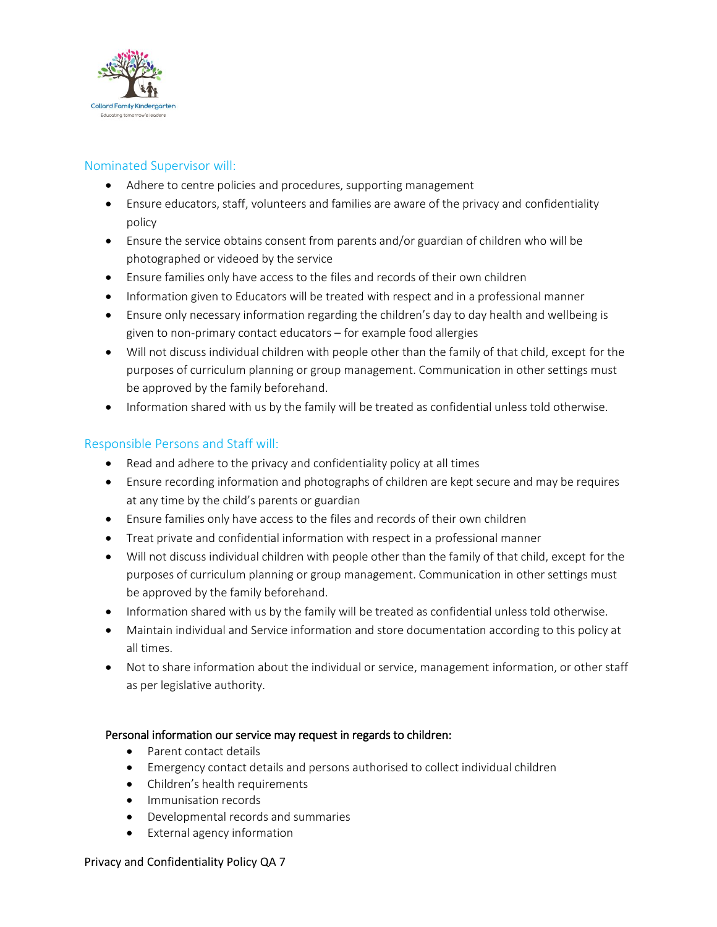

## Nominated Supervisor will:

- Adhere to centre policies and procedures, supporting management
- Ensure educators, staff, volunteers and families are aware of the privacy and confidentiality policy
- Ensure the service obtains consent from parents and/or guardian of children who will be photographed or videoed by the service
- Ensure families only have access to the files and records of their own children
- Information given to Educators will be treated with respect and in a professional manner
- Ensure only necessary information regarding the children's day to day health and wellbeing is given to non-primary contact educators – for example food allergies
- Will not discuss individual children with people other than the family of that child, except for the purposes of curriculum planning or group management. Communication in other settings must be approved by the family beforehand.
- Information shared with us by the family will be treated as confidential unless told otherwise.

## Responsible Persons and Staff will:

- Read and adhere to the privacy and confidentiality policy at all times
- Ensure recording information and photographs of children are kept secure and may be requires at any time by the child's parents or guardian
- Ensure families only have access to the files and records of their own children
- Treat private and confidential information with respect in a professional manner
- Will not discuss individual children with people other than the family of that child, except for the purposes of curriculum planning or group management. Communication in other settings must be approved by the family beforehand.
- Information shared with us by the family will be treated as confidential unless told otherwise.
- Maintain individual and Service information and store documentation according to this policy at all times.
- Not to share information about the individual or service, management information, or other staff as per legislative authority.

## Personal information our service may request in regards to children:

- Parent contact details
- Emergency contact details and persons authorised to collect individual children
- Children's health requirements
- Immunisation records
- Developmental records and summaries
- External agency information

#### Privacy and Confidentiality Policy QA 7